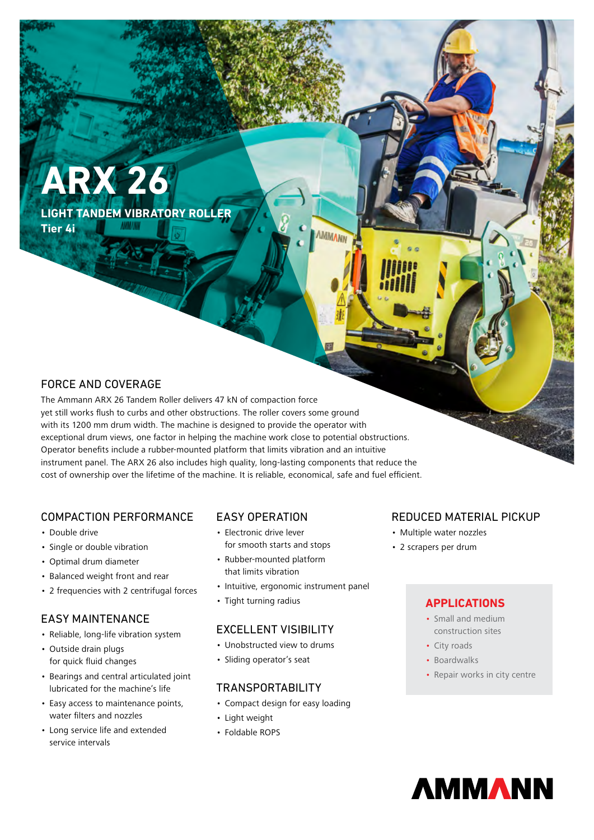# **ARX 26**

**LIGHT TANDEM VIBRATORY ROLLER Tier 4i**

# FORCE AND COVERAGE

The Ammann ARX 26 Tandem Roller delivers 47 kN of compaction force yet still works flush to curbs and other obstructions. The roller covers some ground with its 1200 mm drum width. The machine is designed to provide the operator with exceptional drum views, one factor in helping the machine work close to potential obstructions. Operator benefits include a rubber-mounted platform that limits vibration and an intuitive instrument panel. The ARX 26 also includes high quality, long-lasting components that reduce the cost of ownership over the lifetime of the machine. It is reliable, economical, safe and fuel efficient.

# COMPACTION PERFORMANCE

- Double drive
- Single or double vibration
- Optimal drum diameter
- Balanced weight front and rear
- 2 frequencies with 2 centrifugal forces

# EASY MAINTENANCE

- Reliable, long-life vibration system
- Outside drain plugs for quick fluid changes
- Bearings and central articulated joint lubricated for the machine's life
- Easy access to maintenance points, water filters and nozzles
- Long service life and extended service intervals

# EASY OPERATION

- Electronic drive lever for smooth starts and stops
- Rubber-mounted platform that limits vibration
- Intuitive, ergonomic instrument panel
- Tight turning radius

## EXCELLENT VISIBILITY

- Unobstructed view to drums
- Sliding operator's seat

## TRANSPORTABILITY

- Compact design for easy loading
- Light weight
- Foldable ROPS

# REDUCED MATERIAL PICKUP

- Multiple water nozzles
- 2 scrapers per drum

## **APPLICATIONS**

- Small and medium construction sites
- City roads
- Boardwalks
- Repair works in city centre